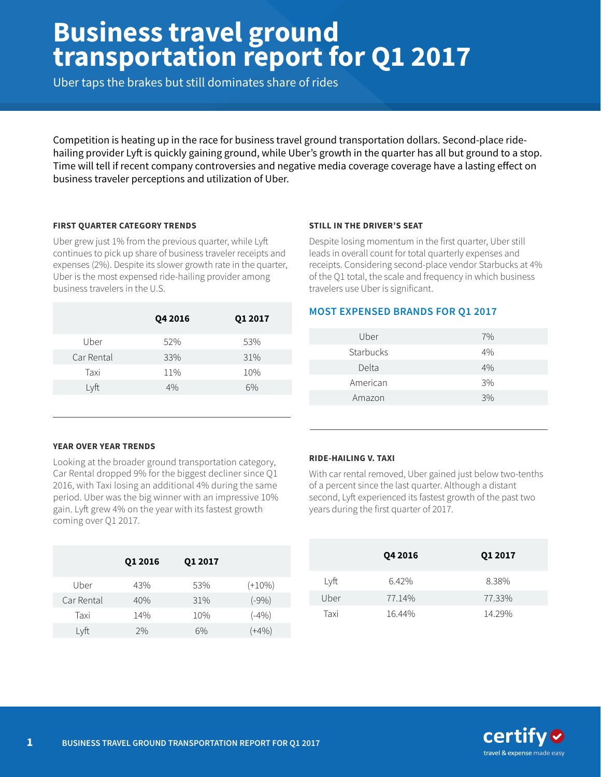# **Business travel ground transportation report for Q1 2017**

Uber taps the brakes but still dominates share of rides

Competition is heating up in the race for business travel ground transportation dollars. Second-place ridehailing provider Lyft is quickly gaining ground, while Uber's growth in the quarter has all but ground to a stop. Time will tell if recent company controversies and negative media coverage coverage have a lasting efect on business traveler perceptions and utilization of Uber.

# **FIRST QUARTER CATEGORY TRENDS**

Uber grew just 1% from the previous quarter, while Lyf continues to pick up share of business traveler receipts and expenses (2%). Despite its slower growth rate in the quarter, Uber is the most expensed ride-hailing provider among business travelers in the U.S.

|            | Q4 2016 | Q1 2017 |
|------------|---------|---------|
| Uber       | 52%     | 53%     |
| Car Rental | 33%     | 31%     |
| Taxi       | 11%     | 10%     |
| Lyft       | 4%      | 6%      |
|            |         |         |

#### **STILL IN THE DRIVER'S SEAT**

Despite losing momentum in the first quarter, Uber still leads in overall count for total quarterly expenses and receipts. Considering second-place vendor Starbucks at 4% of the Q1 total, the scale and frequency in which business travelers use Uber is significant.

# **MOST EXPENSED BRANDS FOR Q1 2017**

| Uber      | 7%    |
|-----------|-------|
| Starbucks | $4\%$ |
| Delta     | $4\%$ |
| American  | 3%    |
| Amazon    | 3%    |
|           |       |

# **YEAR OVER YEAR TRENDS**

Looking at the broader ground transportation category, Car Rental dropped 9% for the biggest decliner since Q1 2016, with Taxi losing an additional 4% during the same period. Uber was the big winner with an impressive 10% gain. Lyft grew 4% on the year with its fastest growth coming over Q1 2017.

|            | Q1 2016 | Q1 2017 |           |
|------------|---------|---------|-----------|
| Uber       | 43%     | 53%     | $(+10\%)$ |
| Car Rental | 40%     | 31%     | $(-9%)$   |
| Taxi       | 14%     | 10%     | $(-4%)$   |
| Lyft       | 2%      | 6%      | (+4%)     |

# **RIDE-HAILING V. TAXI**

With car rental removed, Uber gained just below two-tenths of a percent since the last quarter. Although a distant second, Lyft experienced its fastest growth of the past two years during the first quarter of 2017.

|      | Q4 2016 | Q1 2017 |
|------|---------|---------|
| Lyft | 6.42%   | 8.38%   |
| Uber | 77.14%  | 77.33%  |
| Taxi | 16.44%  | 14.29%  |

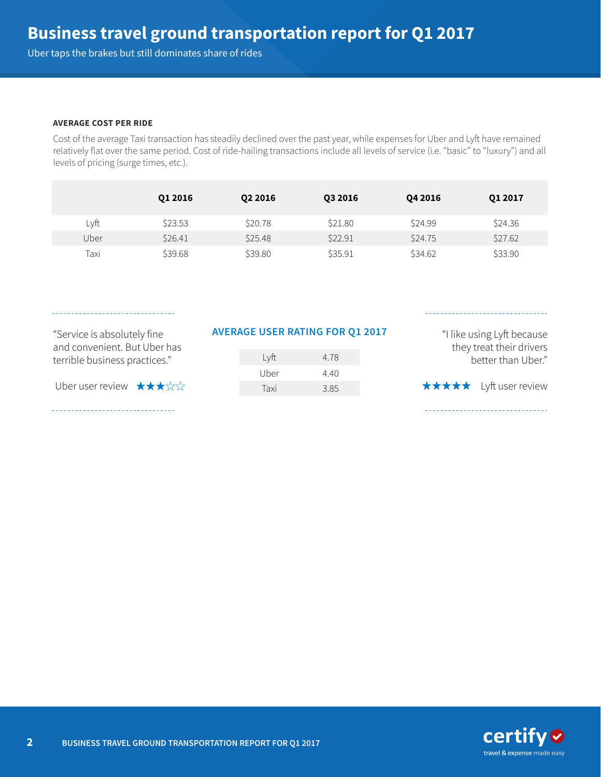Uber taps the brakes but still dominates share of rides

#### **AVERAGE COST PER RIDE**

Cost of the average Taxi transaction has steadily declined over the past year, while expenses for Uber and Lyft have remained relatively flat over the same period. Cost of ride-hailing transactions include all levels of service (i.e. "basic" to "luxury") and all levels of pricing (surge times, etc.).

|      | 01 2016 | 02 2016 | Q3 2016 | Q4 2016 | Q1 2017 |
|------|---------|---------|---------|---------|---------|
| Lyft | \$23.53 | \$20.78 | \$21.80 | \$24.99 | \$24.36 |
| Uber | \$26.41 | \$25.48 | \$22.91 | \$24.75 | \$27.62 |
| Taxi | \$39.68 | \$39.80 | \$35.91 | \$34.62 | \$33.90 |

and convenient. But Uber has terrible business practices."

Uber user review  $\star\star\star\star$ 

# "Service is absolutely fine **AVERAGE USER RATING FOR Q1 2017**

| Lyft | 4.78 |
|------|------|
| Uber | 4.40 |
| Taxi | 3.85 |

"I like using Lyft because they treat their drivers better than Uber." **★★★★★** Lyft user review

 $\text{certify} \otimes$ travel & expense made easy